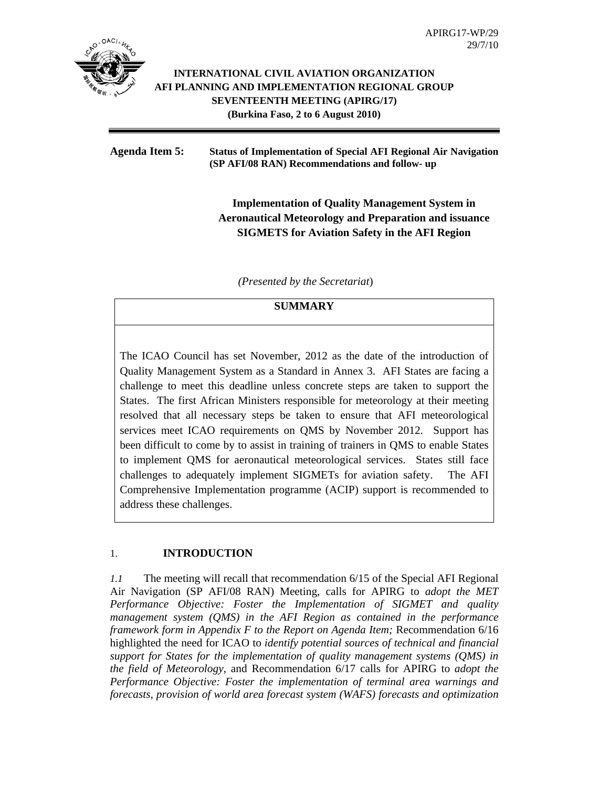

### **INTERNATIONAL CIVIL AVIATION ORGANIZATION AFI PLANNING AND IMPLEMENTATION REGIONAL GROUP SEVENTEENTH MEETING (APIRG/17) (Burkina Faso, 2 to 6 August 2010)**

#### **Agenda Item 5: Status of Implementation of Special AFI Regional Air Navigation (SP AFI/08 RAN) Recommendations and follow- up**

# **Implementation of Quality Management System in Aeronautical Meteorology and Preparation and issuance SIGMETS for Aviation Safety in the AFI Region**

 *(Presented by the Secretariat*)

## **SUMMARY**

The ICAO Council has set November, 2012 as the date of the introduction of Quality Management System as a Standard in Annex 3. AFI States are facing a challenge to meet this deadline unless concrete steps are taken to support the States. The first African Ministers responsible for meteorology at their meeting resolved that all necessary steps be taken to ensure that AFI meteorological services meet ICAO requirements on QMS by November 2012. Support has been difficult to come by to assist in training of trainers in QMS to enable States to implement QMS for aeronautical meteorological services. States still face challenges to adequately implement SIGMETs for aviation safety. The AFI Comprehensive Implementation programme (ACIP) support is recommended to address these challenges.

### 1. **INTRODUCTION**

*1.1* The meeting will recall that recommendation 6/15 of the Special AFI Regional Air Navigation (SP AFI/08 RAN) Meeting, calls for APIRG to *adopt the MET Performance Objective: Foster the Implementation of SIGMET and quality management system (QMS) in the AFI Region as contained in the performance framework form in Appendix F to the Report on Agenda Item;* Recommendation 6/16 highlighted the need for ICAO to *identify potential sources of technical and financial support for States for the implementation of quality management systems (QMS) in the field of Meteorology*, and Recommendation 6/17 calls for APIRG to *adopt the Performance Objective: Foster the implementation of terminal area warnings and forecasts, provision of world area forecast system (WAFS) forecasts and optimization*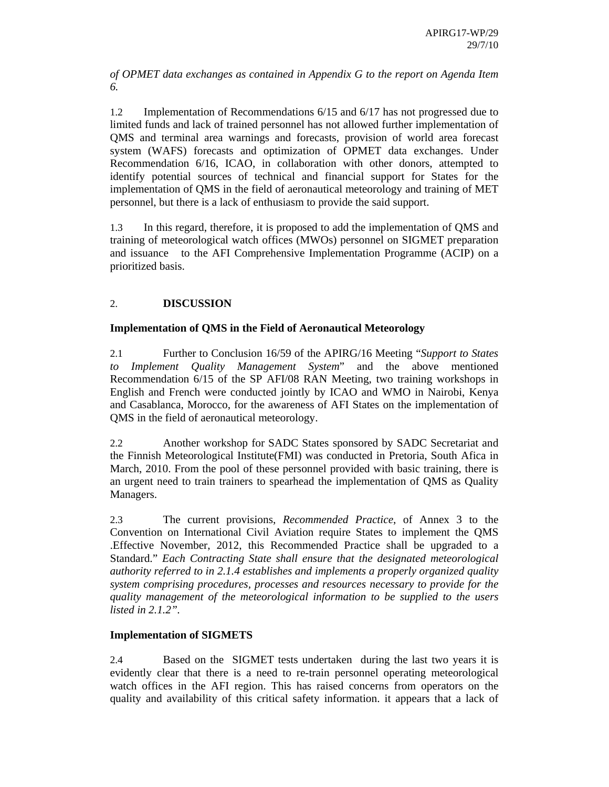*of OPMET data exchanges as contained in Appendix G to the report on Agenda Item 6.* 

1.2 Implementation of Recommendations 6/15 and 6/17 has not progressed due to limited funds and lack of trained personnel has not allowed further implementation of QMS and terminal area warnings and forecasts, provision of world area forecast system (WAFS) forecasts and optimization of OPMET data exchanges. Under Recommendation 6/16, ICAO, in collaboration with other donors, attempted to identify potential sources of technical and financial support for States for the implementation of QMS in the field of aeronautical meteorology and training of MET personnel, but there is a lack of enthusiasm to provide the said support.

1.3 In this regard, therefore, it is proposed to add the implementation of QMS and training of meteorological watch offices (MWOs) personnel on SIGMET preparation and issuance to the AFI Comprehensive Implementation Programme (ACIP) on a prioritized basis.

## 2. **DISCUSSION**

### **Implementation of QMS in the Field of Aeronautical Meteorology**

2.1 Further to Conclusion 16/59 of the APIRG/16 Meeting "*Support to States to Implement Quality Management System*" and the above mentioned Recommendation 6/15 of the SP AFI/08 RAN Meeting, two training workshops in English and French were conducted jointly by ICAO and WMO in Nairobi, Kenya and Casablanca, Morocco, for the awareness of AFI States on the implementation of QMS in the field of aeronautical meteorology.

2.2 Another workshop for SADC States sponsored by SADC Secretariat and the Finnish Meteorological Institute(FMI) was conducted in Pretoria, South Afica in March, 2010. From the pool of these personnel provided with basic training, there is an urgent need to train trainers to spearhead the implementation of QMS as Quality Managers.

2.3 The current provisions, *Recommended Practice*, of Annex 3 to the Convention on International Civil Aviation require States to implement the QMS .Effective November, 2012, this Recommended Practice shall be upgraded to a Standard." *Each Contracting State shall ensure that the designated meteorological authority referred to in 2.1.4 establishes and implements a properly organized quality system comprising procedures, processes and resources necessary to provide for the quality management of the meteorological information to be supplied to the users listed in 2.1.2".* 

### **Implementation of SIGMETS**

2.4 Based on the SIGMET tests undertaken during the last two years it is evidently clear that there is a need to re-train personnel operating meteorological watch offices in the AFI region. This has raised concerns from operators on the quality and availability of this critical safety information. it appears that a lack of